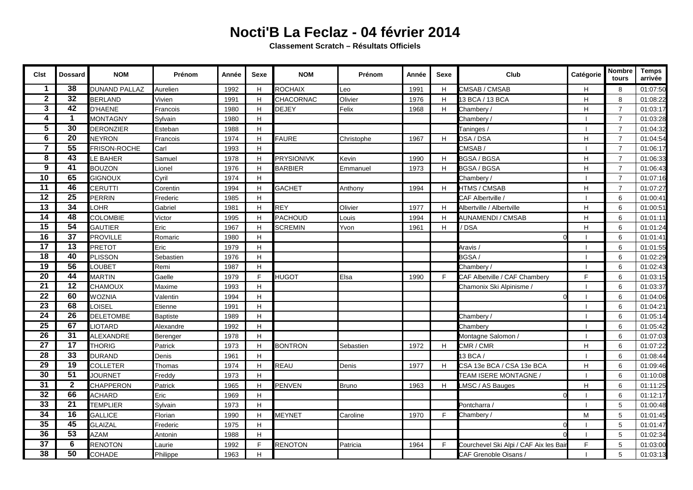## **Nocti'B La Feclaz - 04 février 2014**

**Classement Scratch – Résultats Officiels**

| <b>Cist</b>             | <b>Dossard</b>  | <b>NOM</b>           | Prénom          | Année | Sexe | <b>NOM</b>        | Prénom       | Année | Sexe | <b>Club</b>                            | Catégorie      | <b>Nombre</b><br>tours | <b>Temps</b><br>arrivée |
|-------------------------|-----------------|----------------------|-----------------|-------|------|-------------------|--------------|-------|------|----------------------------------------|----------------|------------------------|-------------------------|
| $\mathbf 1$             | 38              | <b>DUNAND PALLAZ</b> | Aurelien        | 1992  | H    | <b>ROCHAIX</b>    | Leo          | 1991  | H    | CMSAB / CMSAB                          | H              | 8                      | 01:07:50                |
| $\mathbf{2}$            | 32              | <b>BERLAND</b>       | Vivien          | 1991  | H    | CHACORNAC         | Olivier      | 1976  | H    | 13 BCA / 13 BCA                        | H              | 8                      | 01:08:22                |
| $\overline{\mathbf{3}}$ | 42              | <b>D'HAENE</b>       | Francois        | 1980  | H    | <b>DEJEY</b>      | Felix        | 1968  | H.   | Chambery/                              | н              | $\overline{7}$         | 01:03:17                |
| $\overline{\mathbf{4}}$ | $\mathbf 1$     | <b>MONTAGNY</b>      | Sylvain         | 1980  | H    |                   |              |       |      | Chambery/                              | п              | $\overline{7}$         | 01:03:28                |
| 5                       | 30              | <b>DERONZIER</b>     | Esteban         | 1988  | H    |                   |              |       |      | Taninges/                              |                | $\overline{7}$         | 01:04:32                |
| 6                       | $\overline{20}$ | <b>NEYRON</b>        | Francois        | 1974  | H    | <b>FAURE</b>      | Christophe   | 1967  | H    | DSA / DSA                              | H              | $\overline{7}$         | 01:04:54                |
| $\overline{7}$          | $\overline{55}$ | FRISON-ROCHE         | Carl            | 1993  | H    |                   |              |       |      | CMSAB/                                 | $\blacksquare$ | $\overline{7}$         | 01:06:17                |
| 8                       | 43              | LE BAHER             | Samuel          | 1978  | H    | <b>PRYSIONIVK</b> | Kevin        | 1990  | H    | <b>BGSA / BGSA</b>                     | H              | $\overline{7}$         | 01:06:33                |
| $\boldsymbol{9}$        | 41              | <b>BOUZON</b>        | Lionel          | 1976  | H    | <b>BARBIER</b>    | Emmanuel     | 1973  | H.   | <b>BGSA / BGSA</b>                     | H              | $\overline{7}$         | 01:06:43                |
| 10                      | 65              | <b>GIGNOUX</b>       | Cyril           | 1974  | H    |                   |              |       |      | Chambery/                              | $\blacksquare$ | $\overline{7}$         | 01:07:16                |
| $\overline{11}$         | 46              | <b>CERUTTI</b>       | Corentin        | 1994  | H    | <b>GACHET</b>     | Anthony      | 1994  | H    | <b>HTMS / CMSAB</b>                    | H              | $\overline{7}$         | 01:07:27                |
| $\overline{12}$         | $\overline{25}$ | <b>PERRIN</b>        | Frederic        | 1985  | H    |                   |              |       |      | CAF Albertville /                      |                | 6                      | 01:00:41                |
| 13                      | $\overline{34}$ | LOHR                 | Gabriel         | 1981  | H    | <b>REY</b>        | Olivier      | 1977  | H    | Albertville / Albertville              | H              | 6                      | 01:00:51                |
| 14                      | 48              | <b>COLOMBIE</b>      | Victor          | 1995  | H    | <b>PACHOUD</b>    | Louis        | 1994  | H    | AUNAMENDI / CMSAB                      | H              | 6                      | 01:01:11                |
| 15                      | $\overline{54}$ | <b>GAUTIER</b>       | Eric            | 1967  | H    | <b>SCREMIN</b>    | Yvon         | 1961  | H    | /DSA                                   | H              | 6                      | 01:01:24                |
| 16                      | $\overline{37}$ | <b>PROVILLE</b>      | Romaric         | 1980  | H    |                   |              |       |      |                                        |                | 6                      | 01:01:41                |
| 17                      | $\overline{13}$ | <b>PRETOT</b>        | Eric            | 1979  | H    |                   |              |       |      | Aravis /                               |                | 6                      | 01:01:55                |
| $\overline{18}$         | 40              | <b>PLISSON</b>       | Sebastien       | 1976  | H    |                   |              |       |      | BGSA/                                  |                | 6                      | 01:02:29                |
| 19                      | 56              | LOUBET               | Remi            | 1987  | H    |                   |              |       |      | Chambery/                              |                | 6                      | 01:02:43                |
| 20                      | 44              | <b>MARTIN</b>        | Gaelle          | 1979  | F    | <b>HUGOT</b>      | Elsa         | 1990  | F.   | CAF Albetville / CAF Chambery          | E              | 6                      | 01:03:15                |
| 21                      | 12              | <b>CHAMOUX</b>       | Maxime          | 1993  | H    |                   |              |       |      | Chamonix Ski Alpinisme                 |                | 6                      | 01:03:37                |
| 22                      | 60              | <b>WOZNIA</b>        | Valentin        | 1994  | H    |                   |              |       |      |                                        |                | 6                      | 01:04:06                |
| $\overline{23}$         | 68              | LOISEL               | Etienne         | 1991  | H    |                   |              |       |      |                                        |                | 6                      | 01:04:21                |
| $\overline{24}$         | $\overline{26}$ | <b>DELETOMBE</b>     | <b>Baptiste</b> | 1989  | H    |                   |              |       |      | Chambery/                              |                | 6                      | 01:05:14                |
| 25                      | 67              | LIOTARD              | Alexandre       | 1992  | H    |                   |              |       |      | Chambery                               |                | 6                      | 01:05:42                |
| 26                      | $\overline{31}$ | ALEXANDRE            | Berenger        | 1978  | H    |                   |              |       |      | Montagne Salomon /                     | $\mathbf{I}$   | 6                      | 01:07:03                |
| $\overline{27}$         | $\overline{17}$ | <b>THORIG</b>        | Patrick         | 1973  | H    | <b>BONTRON</b>    | Sebastien    | 1972  | H.   | CMR / CMR                              | H              | 6                      | 01:07:22                |
| 28                      | 33              | <b>DURAND</b>        | Denis           | 1961  | H    |                   |              |       |      | 13 BCA /                               |                | 6                      | 01:08:44                |
| $\overline{29}$         | 19              | <b>COLLETER</b>      | Thomas          | 1974  | H    | <b>REAU</b>       | Denis        | 1977  | H.   | CSA 13e BCA / CSA 13e BCA              | H              | 6                      | 01:09:46                |
| 30                      | 51              | <b>JOURNET</b>       | Freddy          | 1973  | H    |                   |              |       |      | TEAM ISERE MONTAGNE                    |                | 6                      | 01:10:08                |
| $\overline{31}$         | $\mathbf{2}$    | <b>CHAPPERON</b>     | Patrick         | 1965  | H    | <b>PENVEN</b>     | <b>Bruno</b> | 1963  | H.   | LMSC / AS Bauges                       | $\overline{H}$ | 6                      | 01:11:25                |
| $\overline{32}$         | 66              | <b>ACHARD</b>        | Eric            | 1969  | H    |                   |              |       |      |                                        |                | 6                      | 01:12:17                |
| 33                      | $\overline{21}$ | <b>TEMPLIER</b>      | Sylvain         | 1973  | H    |                   |              |       |      | Pontcharra /                           |                | 5                      | 01:00:48                |
| $\overline{34}$         | $\overline{16}$ | <b>GALLICE</b>       | Florian         | 1990  | H    | <b>MEYNET</b>     | Caroline     | 1970  | F    | Chambery/                              | M              | 5                      | 01:01:45                |
| 35                      | 45              | <b>GLAIZAL</b>       | Frederic        | 1975  | H    |                   |              |       |      |                                        |                | 5                      | 01:01:47                |
| 36                      | 53              | <b>AZAM</b>          | Antonin         | 1988  | H    |                   |              |       |      |                                        |                | 5                      | 01:02:34                |
| $\overline{37}$         | 6               | <b>RENOTON</b>       | Laurie          | 1992  | F    | <b>RENOTON</b>    | Patricia     | 1964  | F    | Courchevel Ski Alpi / CAF Aix les Bair | F              | 5                      | 01:03:00                |
| 38                      | $\overline{50}$ | <b>COHADE</b>        | Philippe        | 1963  | H    |                   |              |       |      | CAF Grenoble Oisans /                  |                | 5                      | 01:03:13                |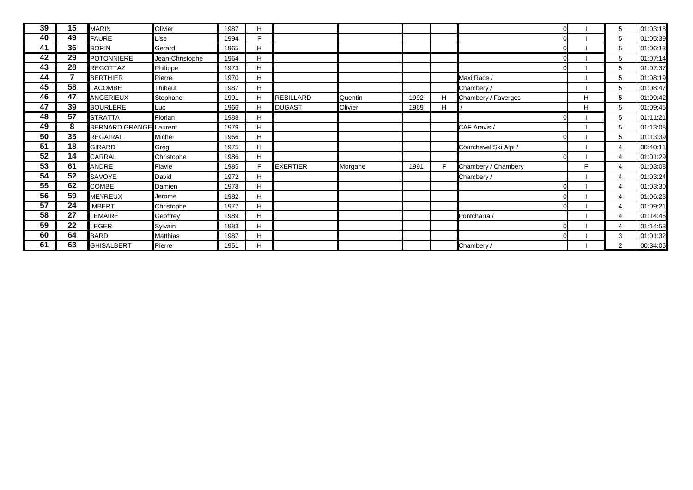| 39              | 15 | <b>MARIN</b>                  | Olivier         | 1987 | H |                  |         |      |   |                       |    | 5              | 01:03:18 |
|-----------------|----|-------------------------------|-----------------|------|---|------------------|---------|------|---|-----------------------|----|----------------|----------|
| 40              | 49 | <b>FAURE</b>                  | Lise            | 1994 | Е |                  |         |      |   |                       |    | 5              | 01:05:39 |
| 41              | 36 | <b>BORIN</b>                  | Gerard          | 1965 | H |                  |         |      |   |                       |    | 5              | 01:06:13 |
| 42              | 29 | POTONNIERE                    | Jean-Christophe | 1964 | H |                  |         |      |   |                       |    | 5              | 01:07:14 |
| 43              | 28 | <b>REGOTTAZ</b>               | Philippe        | 1973 | H |                  |         |      |   |                       |    | 5              | 01:07:37 |
| 44              |    | <b>BERTHIER</b>               | Pierre          | 1970 | H |                  |         |      |   | Maxi Race /           |    | 5              | 01:08:19 |
| 45              | 58 | <b>LACOMBE</b>                | Thibaut         | 1987 | H |                  |         |      |   | Chambery/             |    | 5              | 01:08:47 |
| 46              | 47 | ANGERIEUX                     | Stephane        | 1991 | H | <b>REBILLARD</b> | Quentin | 1992 |   | Chambery / Faverges   | H  | 5              | 01:09:42 |
| 47              | 39 | <b>BOURLERE</b>               | Luc             | 1966 | H | <b>DUGAST</b>    | Olivier | 1969 | н |                       | H  | 5              | 01:09:45 |
| 48              | 57 | <b>STRATTA</b>                | Florian         | 1988 | H |                  |         |      |   |                       |    | 5              | 01:11:21 |
| 49              | 8  | <b>BERNARD GRANGE</b> Laurent |                 | 1979 | H |                  |         |      |   | CAF Aravis /          |    | 5              | 01:13:08 |
| 50              | 35 | <b>REGAIRAL</b>               | Michel          | 1966 | H |                  |         |      |   |                       |    | 5              | 01:13:39 |
| 51              | 18 | <b>GIRARD</b>                 | Greg            | 1975 | H |                  |         |      |   | Courchevel Ski Alpi / |    | $\overline{4}$ | 00:40:11 |
| 52              | 14 | <b>CARRAL</b>                 | Christophe      | 1986 | H |                  |         |      |   |                       |    | 4              | 01:01:29 |
| 53              | 61 | ANDRE                         | Flavie          | 1985 | F | <b>EXERTIER</b>  | Morgane | 1991 |   | Chambery / Chambery   | E. | 4              | 01:03:08 |
| 54              | 52 | <b>SAVOYE</b>                 | David           | 1972 | H |                  |         |      |   | Chambery /            |    | 4              | 01:03:24 |
| 55              | 62 | <b>COMBE</b>                  | Damien          | 1978 | H |                  |         |      |   |                       |    | 4              | 01:03:30 |
| 56              | 59 | <b>MEYREUX</b>                | Jerome          | 1982 | H |                  |         |      |   |                       |    | 4              | 01:06:23 |
| 57              | 24 | <b>IMBERT</b>                 | Christophe      | 1977 | H |                  |         |      |   |                       |    | $\overline{4}$ | 01:09:21 |
| $\overline{58}$ | 27 | LEMAIRE                       | Geoffrey        | 1989 | H |                  |         |      |   | Pontcharra            |    | $\overline{4}$ | 01:14:46 |
| $\overline{59}$ | 22 | LEGER                         | Sylvain         | 1983 | H |                  |         |      |   |                       |    | 4              | 01:14:53 |
| 60              | 64 | <b>BARD</b>                   | Matthias        | 1987 | H |                  |         |      |   |                       |    | 3              | 01:01:32 |
| 61              | 63 | <b>GHISALBERT</b>             | Pierre          | 1951 | н |                  |         |      |   | Chambery/             |    | 2              | 00:34:05 |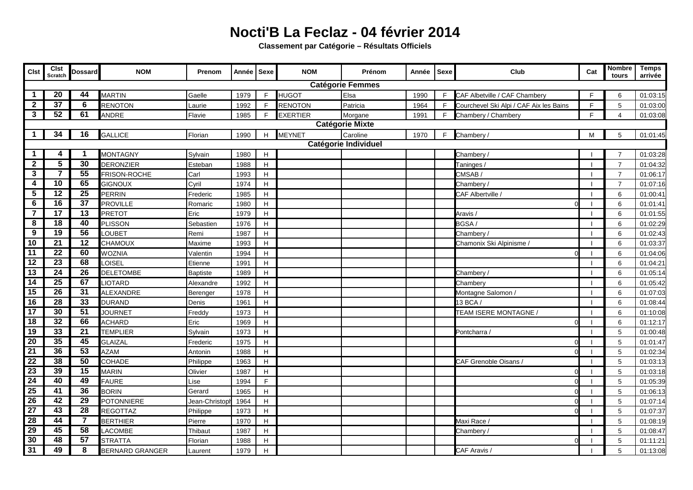## **Nocti'B La Feclaz - 04 février 2014**

**Classement par Catégorie – Résultats Officiels**

| <b>CIst</b>                        | <b>Clst</b><br><b>Scratch</b> | <b>Dossard</b>                     | <b>NOM</b>             | Prenom         | Année | <b>Sexe</b>                                         | <b>NOM</b>      | Prénom                  | Année | <b>Sexe</b> | Club                                    |   | Nombre<br>tours | <b>Temps</b><br>arrivée |
|------------------------------------|-------------------------------|------------------------------------|------------------------|----------------|-------|-----------------------------------------------------|-----------------|-------------------------|-------|-------------|-----------------------------------------|---|-----------------|-------------------------|
|                                    |                               |                                    |                        |                |       |                                                     |                 | <b>Catégorie Femmes</b> |       |             |                                         |   |                 |                         |
| $\mathbf 1$                        | 20                            | 44                                 | <b>MARTIN</b>          | Gaelle         | 1979  | F                                                   | <b>HUGOT</b>    | Elsa                    | 1990  | F.          | CAF Albetville / CAF Chambery           | F | 6               | 01:03:15                |
| $\mathbf{2}$                       | $\overline{37}$               | $6\phantom{a}$                     | <b>RENOTON</b>         | Laurie         | 1992  | F                                                   | <b>RENOTON</b>  | Patricia                | 1964  | E           | Courchevel Ski Alpi / CAF Aix les Bains |   | 5               | 01:03:00                |
| 3                                  | $\overline{52}$               | 61                                 | <b>ANDRE</b>           | Flavie         | 1985  | F.                                                  | <b>EXERTIER</b> | Morgane                 | 1991  | F.          | Chambery / Chambery                     |   | $\overline{4}$  | 01:03:08                |
|                                    |                               |                                    |                        |                |       |                                                     |                 | <b>Catégorie Mixte</b>  |       |             |                                         |   |                 |                         |
| 1                                  | 34                            | 16                                 | <b>GALLICE</b>         | Florian        | 1990  | H                                                   | <b>MEYNET</b>   | Caroline                | 1970  | F.          | Chambery/                               | M | 5               | 01:01:45                |
|                                    | Catégorie Individuel          |                                    |                        |                |       |                                                     |                 |                         |       |             |                                         |   |                 |                         |
| 1                                  | 4                             | 1                                  | <b>MONTAGNY</b>        | Sylvain        | 1980  | H                                                   |                 |                         |       |             | Chambery/                               |   | $\overline{7}$  | 01:03:28                |
| $\mathbf{2}$                       | $\overline{5}$                | 30                                 | <b>DERONZIER</b>       | Esteban        | 1988  | H                                                   |                 |                         |       |             | <b>Taninges/</b>                        |   | $\overline{7}$  | 01:04:32                |
| 3                                  | $\overline{7}$                | $\overline{55}$                    | FRISON-ROCHE           | Carl           | 1993  | H                                                   |                 |                         |       |             | CMSAB/                                  |   | $\overline{7}$  | 01:06:17                |
| 4                                  | 10                            | 65                                 | <b>GIGNOUX</b>         | Cyril          | 1974  | H                                                   |                 |                         |       |             | Chambery/                               |   | $\overline{7}$  | 01:07:16                |
| 5                                  | $\overline{12}$               | $\overline{25}$                    | <b>PERRIN</b>          | Frederic       | 1985  | H                                                   |                 |                         |       |             | CAF Albertville /                       |   | 6               | 01:00:41                |
| 6                                  | 16                            | $\overline{37}$                    | <b>PROVILLE</b>        | Romaric        | 1980  | H                                                   |                 |                         |       |             | O                                       |   | 6               | 01:01:41                |
| $\overline{\mathbf{r}}$            | 17                            | $\overline{13}$                    | <b>PRETOT</b>          | Eric           | 1979  | $\mathsf{H}% _{\mathsf{H}}^{\ast}(\mathcal{M}_{0})$ |                 |                         |       |             | Aravis/                                 |   | 6               | 01:01:55                |
| 8                                  | $\overline{18}$               | 40                                 | <b>PLISSON</b>         | Sebastien      | 1976  | H                                                   |                 |                         |       |             | BGSA/                                   |   | 6               | 01:02:29                |
| 9                                  | 19                            | 56                                 | LOUBET                 | Remi           | 1987  | H                                                   |                 |                         |       |             | Chambery/                               |   | 6               | 01:02:43                |
| 10                                 | $\overline{21}$               | $\overline{12}$                    | CHAMOUX                | Maxime         | 1993  | $\mathsf{H}% _{\mathsf{H}}^{\ast}(\mathcal{M}_{0})$ |                 |                         |       |             | Chamonix Ski Alpinisme /                |   | 6               | 01:03:37                |
| $\overline{11}$                    | $\overline{22}$               | 60                                 | <b>WOZNIA</b>          | Valentin       | 1994  | $\mathsf{H}% _{\mathsf{H}}^{\ast}(\mathcal{M}_{0})$ |                 |                         |       |             |                                         |   | 6               | 01:04:06                |
| 12                                 | 23                            | 68                                 | LOISEL                 | Etienne        | 1991  | H                                                   |                 |                         |       |             |                                         |   | 6               | 01:04:21                |
| 13                                 | $\overline{24}$               | 26                                 | <b>DELETOMBE</b>       | Baptiste       | 1989  | $\boldsymbol{\mathsf{H}}$                           |                 |                         |       |             | Chambery/                               |   | 6               | 01:05:14                |
| 14                                 | $\overline{25}$               | 67                                 | LIOTARD                | Alexandre      | 1992  | $\boldsymbol{\mathsf{H}}$                           |                 |                         |       |             | Chambery                                |   | 6               | 01:05:42                |
| 15                                 | 26                            | 31                                 | ALEXANDRE              | Berenger       | 1978  | $\mathsf{H}% _{\mathsf{H}}^{\ast}(\mathcal{M}_{0})$ |                 |                         |       |             | Montagne Salomon /                      |   | 6               | 01:07:03                |
| 16                                 | 28                            | 33                                 | <b>DURAND</b>          | Denis          | 1961  | H                                                   |                 |                         |       |             | 13 BCA /                                |   | 6               | 01:08:44                |
| 17                                 | 30                            | $\overline{51}$                    | <b>JOURNET</b>         | Freddy         | 1973  | H                                                   |                 |                         |       |             | <b>TEAM ISERE MONTAGNE /</b>            |   | 6               | 01:10:08                |
| 18                                 | $\overline{32}$               | 66                                 | <b>ACHARD</b>          | Eric           | 1969  | $\mathsf{H}% _{\mathsf{H}}^{\ast}(\mathcal{M}_{0})$ |                 |                         |       |             |                                         |   | 6               | 01:12:17                |
| $\overline{19}$                    | 33                            | 21                                 | <b>TEMPLIER</b>        | Sylvain        | 1973  | H                                                   |                 |                         |       |             | Pontcharra /                            |   | 5               | 01:00:48                |
| $\overline{20}$                    | 35                            | 45                                 | <b>GLAIZAL</b>         | Frederic       | 1975  | H                                                   |                 |                         |       |             | C                                       |   | 5               | 01:01:47                |
| $\overline{21}$                    | 36                            | $\overline{53}$<br>50              | <b>AZAM</b>            | Antonin        | 1988  | H                                                   |                 |                         |       |             | O                                       |   | 5               | 01:02:34                |
| $\overline{22}$<br>$\overline{23}$ | 38<br>39                      | $\overline{15}$                    | <b>COHADE</b>          | Philippe       | 1963  | H                                                   |                 |                         |       |             | CAF Grenoble Oisans /                   |   | 5               | 01:03:13                |
|                                    |                               |                                    | <b>MARIN</b>           | Olivier        | 1987  | H                                                   |                 |                         |       |             | C                                       |   | 5               | 01:03:18                |
| $\overline{24}$                    | 40                            | 49                                 | <b>FAURE</b>           | Lise           | 1994  | E                                                   |                 |                         |       |             | C                                       |   | 5               | 01:05:39                |
| $\overline{25}$                    | $\overline{41}$<br>42         | 36                                 | <b>BORIN</b>           | Gerard         | 1965  | H                                                   |                 |                         |       |             | $\Omega$                                |   | 5               | 01:06:13                |
| $\overline{26}$<br>$\overline{27}$ | $\overline{43}$               | $\overline{29}$<br>$\overline{28}$ | <b>POTONNIERE</b>      | Jean-Christopl | 1964  | H                                                   |                 |                         |       |             | $\Omega$                                |   | 5               | 01:07:14                |
| 28                                 | 44                            | $\overline{7}$                     | <b>REGOTTAZ</b>        | Philippe       | 1973  | H                                                   |                 |                         |       |             |                                         |   | 5               | 01:07:37                |
| 29                                 | 45                            | 58                                 | <b>BERTHIER</b>        | Pierre         | 1970  | $\boldsymbol{\mathsf{H}}$                           |                 |                         |       |             | Maxi Race /                             |   | 5               | 01:08:19                |
|                                    | 48                            | 57                                 | <b>LACOMBE</b>         | Thibaut        | 1987  | $\boldsymbol{\mathsf{H}}$                           |                 |                         |       |             | Chambery/                               |   | 5               | 01:08:47                |
| 30                                 | 49                            |                                    | <b>STRATTA</b>         | Florian        | 1988  | $\boldsymbol{\mathsf{H}}$                           |                 |                         |       |             | r                                       |   | $5\phantom{.0}$ | 01:11:21                |
| $\overline{31}$                    |                               | 8                                  | <b>BERNARD GRANGER</b> | Laurent        | 1979  | $\boldsymbol{\mathsf{H}}$                           |                 |                         |       |             | CAF Aravis /                            |   | 5               | 01:13:08                |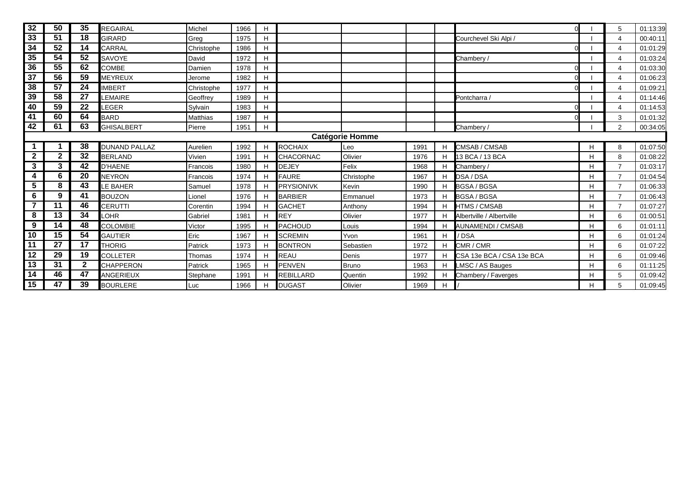| 32              | 50                     | 35           | <b>REGAIRAL</b>      | Michel          | 1966 | H                                                   |                  |            |      |    |                           |    | 5              | 01:13:39 |
|-----------------|------------------------|--------------|----------------------|-----------------|------|-----------------------------------------------------|------------------|------------|------|----|---------------------------|----|----------------|----------|
| 33              | 51                     | 18           | <b>GIRARD</b>        | Greg            | 1975 | H                                                   |                  |            |      |    | Courchevel Ski Alpi       |    | 4              | 00:40:11 |
| 34              | 52                     | 14           | <b>CARRAL</b>        | Christophe      | 1986 | H                                                   |                  |            |      |    |                           |    | 4              | 01:01:29 |
| 35              | 54                     | 52           | <b>SAVOYE</b>        | David           | 1972 | H                                                   |                  |            |      |    | Chambery/                 |    | 4              | 01:03:24 |
| 36              | 55                     | 62           | <b>COMBE</b>         | Damien          | 1978 | H                                                   |                  |            |      |    |                           |    | 4              | 01:03:30 |
| $\overline{37}$ | 56                     | 59           | <b>MEYREUX</b>       | Jerome          | 1982 | H                                                   |                  |            |      |    |                           |    | 4              | 01:06:23 |
| 38              | 57                     | 24           | <b>IMBERT</b>        | Christophe      | 1977 | H                                                   |                  |            |      |    |                           |    | $\overline{4}$ | 01:09:21 |
| 39              | 58                     | 27           | <b>LEMAIRE</b>       | Geoffrey        | 1989 | H                                                   |                  |            |      |    | Pontcharra                |    | 4              | 01:14:46 |
| 40              | 59                     | 22           | LEGER                | Sylvain         | 1983 | H                                                   |                  |            |      |    |                           |    | 4              | 01:14:53 |
| 41              | 60                     | 64           | <b>BARD</b>          | <b>Matthias</b> | 1987 | H                                                   |                  |            |      |    |                           |    | 3              | 01:01:32 |
| 42              | 61                     | 63           | <b>GHISALBERT</b>    | Pierre          | 1951 | $\mathsf{H}% _{\mathsf{H}}^{\ast}(\mathcal{M}_{0})$ |                  |            |      |    | Chambery/                 |    | $\overline{2}$ | 00:34:05 |
|                 | <b>Catégorie Homme</b> |              |                      |                 |      |                                                     |                  |            |      |    |                           |    |                |          |
|                 | 1                      | 38           | <b>DUNAND PALLAZ</b> | Aurelien        | 1992 | H                                                   | <b>ROCHAIX</b>   | Leo        | 1991 | H  | CMSAB / CMSAB             | H  | 8              | 01:07:50 |
| $\overline{2}$  | $\mathbf{2}$           | 32           | <b>BERLAND</b>       | Vivien          | 1991 | H                                                   | <b>CHACORNAC</b> | Olivier    | 1976 |    | 13 BCA / 13 BCA           | H. | 8              | 01:08:22 |
| 3               | 3                      | 42           | <b>D'HAENE</b>       | Francois        | 1980 | H                                                   | <b>DEJEY</b>     | Felix      | 1968 | H. | Chambery/                 | H. |                | 01:03:17 |
|                 | 6                      | 20           | <b>NEYRON</b>        | Francois        | 1974 | H                                                   | <b>FAURE</b>     | Christophe | 1967 | H. | DSA / DSA                 | H. | $\overline{7}$ | 01:04:54 |
| 5               | 8                      | 43           | LE BAHER             | Samuel          | 1978 | H                                                   | PRYSIONIVK       | Kevin      | 1990 | H. | <b>BGSA / BGSA</b>        | H  | $\overline{7}$ | 01:06:33 |
| 6               | 9                      | 41           | <b>BOUZON</b>        | Lionel          | 1976 | H                                                   | <b>BARBIER</b>   | Emmanuel   | 1973 | H. | <b>BGSA / BGSA</b>        | H. | $\overline{7}$ | 01:06:43 |
| 7               | $\overline{11}$        | 46           | <b>CERUTTI</b>       | Corentin        | 1994 | H                                                   | <b>GACHET</b>    | Anthony    | 1994 | H. | <b>HTMS / CMSAB</b>       | H  | $\overline{7}$ | 01:07:27 |
| 8               | $\overline{13}$        | 34           | <b>LOHR</b>          | Gabriel         | 1981 | H                                                   | <b>REY</b>       | Olivier    | 1977 | H. | Albertville / Albertville | H. | 6              | 01:00:51 |
| 9               | 14                     | 48           | <b>COLOMBIE</b>      | Victor          | 1995 | H                                                   | <b>PACHOUD</b>   | Louis      | 1994 |    | <b>AUNAMENDI / CMSAB</b>  | H. | 6              | 01:01:11 |
| 10              | 15                     | 54           | <b>GAUTIER</b>       | Eric            | 1967 | H                                                   | <b>SCREMIN</b>   | Yvon       | 1961 | H. | /DSA                      | H  | 6              | 01:01:24 |
| 11              | $\overline{27}$        | 17           | <b>THORIG</b>        | Patrick         | 1973 | H                                                   | <b>BONTRON</b>   | Sebastien  | 1972 | H. | CMR/CMR                   | H. | 6              | 01:07:22 |
| $\overline{12}$ | 29                     | 19           | <b>COLLETER</b>      | Thomas          | 1974 | H                                                   | REAU             | Denis      | 1977 |    | CSA 13e BCA / CSA 13e BCA | H  | 6              | 01:09:46 |
| $\overline{13}$ | 31                     | $\mathbf{2}$ | <b>CHAPPERON</b>     | Patrick         | 1965 | H                                                   | <b>PENVEN</b>    | Bruno      | 1963 | H. | LMSC / AS Bauges          | H. | 6              | 01:11:25 |
| 14              | 46                     | 47           | <b>ANGERIEUX</b>     | Stephane        | 1991 | H                                                   | <b>REBILLARD</b> | Quentin    | 1992 |    | Chambery / Faverges       | H  | 5              | 01:09:42 |
| $\overline{15}$ | 47                     | 39           | <b>BOURLERE</b>      | Luc             | 1966 | H                                                   | DUGAST           | Olivier    | 1969 | H. |                           | H. | 5              | 01:09:45 |